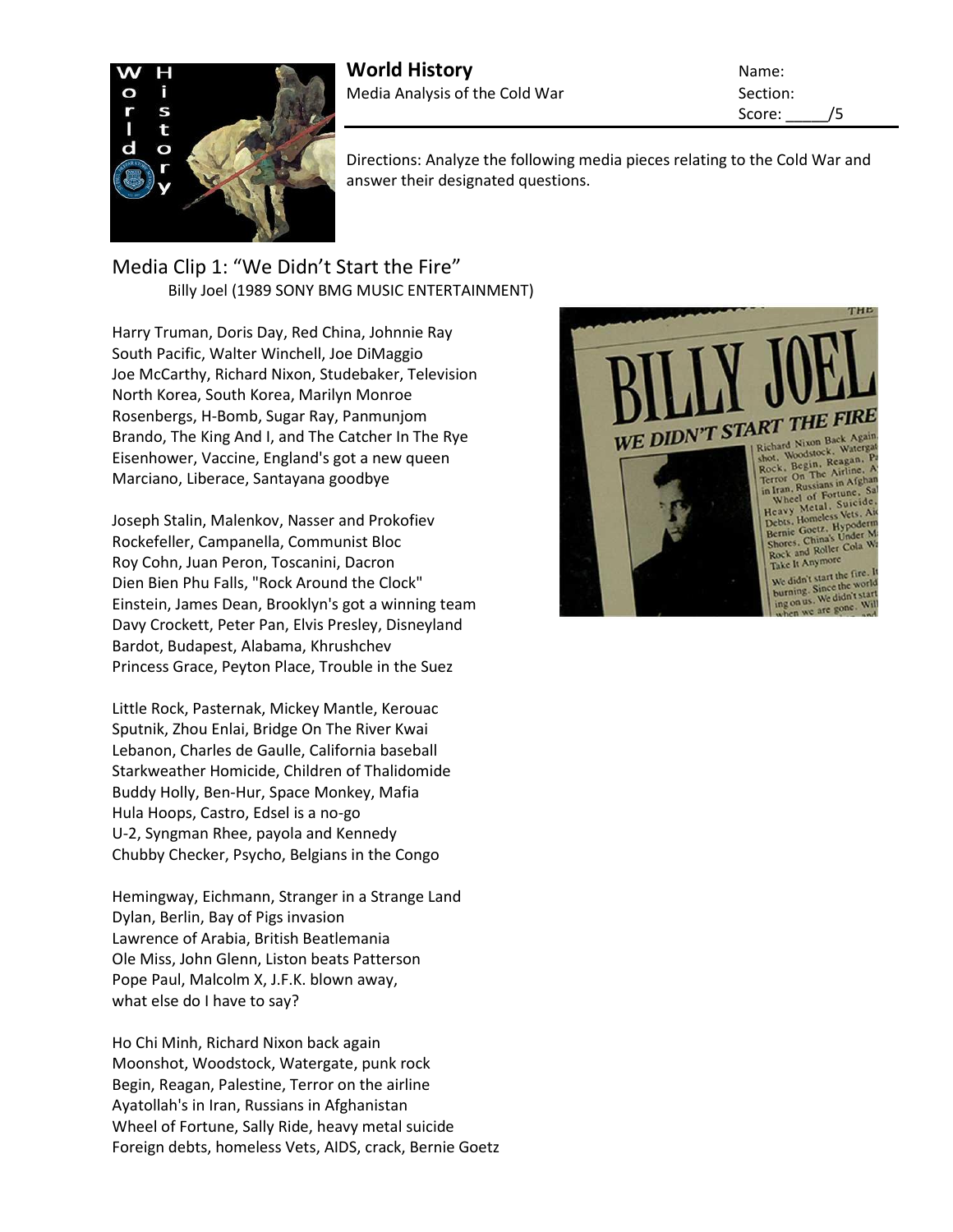

**World History** Name: Media Analysis of the Cold War Section:

Score: /5

Directions: Analyze the following media pieces relating to the Cold War and answer their designated questions.

Media Clip 1: "We Didn't Start the Fire" Billy Joel (1989 SONY BMG MUSIC ENTERTAINMENT)

[Harry Truman,](http://rock.rapgenius.com/1136925/Billy-joel-we-didnt-start-the-fire/Harry-truman) [Doris Day,](http://rock.rapgenius.com/1368273/Billy-joel-we-didnt-start-the-fire/Doris-day) [Red China,](http://rock.rapgenius.com/1136934/Billy-joel-we-didnt-start-the-fire/Red-china) [Johnnie Ray](http://rock.rapgenius.com/1136941/Billy-joel-we-didnt-start-the-fire/Johnnie-ray) [South Pacific,](http://rock.rapgenius.com/1136949/Billy-joel-we-didnt-start-the-fire/South-pacific) [Walter Winchell,](http://rock.rapgenius.com/1375250/Billy-joel-we-didnt-start-the-fire/Walter-winchell) [Joe DiMaggio](http://rock.rapgenius.com/1376638/Billy-joel-we-didnt-start-the-fire/Joe-dimaggio) [Joe McCarthy,](http://rock.rapgenius.com/1377949/Billy-joel-we-didnt-start-the-fire/Joe-mccarthy) [Richard Nixon,](http://rock.rapgenius.com/1136971/Billy-joel-we-didnt-start-the-fire/Richard-nixon) [Studebaker,](http://rock.rapgenius.com/1136975/Billy-joel-we-didnt-start-the-fire/Studebaker) [Television](http://rock.rapgenius.com/1806990/Billy-joel-we-didnt-start-the-fire/Television) [North Korea, South Korea,](http://rock.rapgenius.com/1136983/Billy-joel-we-didnt-start-the-fire/North-korea-south-korea) [Marilyn Monroe](http://rock.rapgenius.com/1790515/Billy-joel-we-didnt-start-the-fire/Marilyn-monroe) [Rosenbergs,](http://rock.rapgenius.com/1140089/Billy-joel-we-didnt-start-the-fire/Rosenbergs) [H-Bomb,](http://rock.rapgenius.com/1140094/Billy-joel-we-didnt-start-the-fire/H-bomb) [Sugar Ray,](http://rock.rapgenius.com/1140099/Billy-joel-we-didnt-start-the-fire/Sugar-ray) [Panmunjom](http://rock.rapgenius.com/1140102/Billy-joel-we-didnt-start-the-fire/Panmunjom) [Brando,](http://rock.rapgenius.com/1140110/Billy-joel-we-didnt-start-the-fire/Brando) [The King And I,](http://rock.rapgenius.com/1140118/Billy-joel-we-didnt-start-the-fire/The-king-and-i) and [The Catcher In The Rye](http://rock.rapgenius.com/1140122/Billy-joel-we-didnt-start-the-fire/And-the-catcher-in-the-rye) [Eisenhower,](http://rock.rapgenius.com/1140125/Billy-joel-we-didnt-start-the-fire/Eisenhower) [Vaccine,](http://rock.rapgenius.com/1140136/Billy-joel-we-didnt-start-the-fire/Vaccine) [England's got a new queen](http://rock.rapgenius.com/1140141/Billy-joel-we-didnt-start-the-fire/Englands-got-a-new-queen) [Marciano,](http://rock.rapgenius.com/1140153/Billy-joel-we-didnt-start-the-fire/Marciano) [Liberace,](http://rock.rapgenius.com/1140158/Billy-joel-we-didnt-start-the-fire/Liberace) [Santayana goodbye](http://rock.rapgenius.com/1140161/Billy-joel-we-didnt-start-the-fire/Santayana-goodbye)

[Joseph Stalin,](http://rock.rapgenius.com/1790690/Billy-joel-we-didnt-start-the-fire/Joseph-stalin) [Malenkov,](http://rock.rapgenius.com/1790713/Billy-joel-we-didnt-start-the-fire/Malenkov) [Nasser](http://rock.rapgenius.com/1790770/Billy-joel-we-didnt-start-the-fire/Nasser) [and Prokofiev](http://rock.rapgenius.com/1790530/Billy-joel-we-didnt-start-the-fire/And-prokofiev) [Rockefeller,](http://rock.rapgenius.com/1806996/Billy-joel-we-didnt-start-the-fire/Rockefeller) [Campanella,](http://rock.rapgenius.com/1785749/Billy-joel-we-didnt-start-the-fire/Campanella) [Communist Bloc](http://rock.rapgenius.com/1792495/Billy-joel-we-didnt-start-the-fire/Communist-bloc) [Roy Cohn,](http://rock.rapgenius.com/1807006/Billy-joel-we-didnt-start-the-fire/Roy-cohn) [Juan Peron,](http://rock.rapgenius.com/1786598/Billy-joel-we-didnt-start-the-fire/Juan-peron) [Toscanini,](http://rock.rapgenius.com/1196468/Billy-joel-we-didnt-start-the-fire/Toscanini) [Dacron](http://rock.rapgenius.com/1196471/Billy-joel-we-didnt-start-the-fire/Dacron) [Dien Bien Phu Falls,](http://rock.rapgenius.com/1196472/Billy-joel-we-didnt-start-the-fire/Dien-bien-phu-falls) ["Rock Around the Clock"](http://rock.rapgenius.com/1196474/Billy-joel-we-didnt-start-the-fire/Rock-around-the-clock) [Einstein,](http://rock.rapgenius.com/1807018/Billy-joel-we-didnt-start-the-fire/Einstein) [James Dean,](http://rock.rapgenius.com/1792516/Billy-joel-we-didnt-start-the-fire/James-dean) [Brooklyn's got a winning team](http://rock.rapgenius.com/1368496/Billy-joel-we-didnt-start-the-fire/Brooklyns-got-a-winning-team) [Davy Crockett,](http://rock.rapgenius.com/2720928/Billy-joel-we-didnt-start-the-fire/Davy-crockett) [Peter Pan,](http://rock.rapgenius.com/2720946/Billy-joel-we-didnt-start-the-fire/Peter-pan) [Elvis Presley,](http://rock.rapgenius.com/2720964/Billy-joel-we-didnt-start-the-fire/Elvis-presley) [Disneyland](http://rock.rapgenius.com/1142107/Billy-joel-we-didnt-start-the-fire/Disneyland) [Bardot,](http://rock.rapgenius.com/1196448/Billy-joel-we-didnt-start-the-fire/Bardot) [Budapest,](http://rock.rapgenius.com/1790858/Billy-joel-we-didnt-start-the-fire/Budapest) [Alabama,](http://rock.rapgenius.com/1519417/Billy-joel-we-didnt-start-the-fire/Alabama) [Khrushchev](http://rock.rapgenius.com/1791164/Billy-joel-we-didnt-start-the-fire/Khrushchev) [Princess Grace,](http://rock.rapgenius.com/1196457/Billy-joel-we-didnt-start-the-fire/Princess-grace) [Peyton Place,](http://rock.rapgenius.com/1196459/Billy-joel-we-didnt-start-the-fire/Peyton-place) [Trouble in the Suez](http://rock.rapgenius.com/1196460/Billy-joel-we-didnt-start-the-fire/Trouble-in-the-suez)

[Little Rock,](http://rock.rapgenius.com/1368978/Billy-joel-we-didnt-start-the-fire/Little-rock) [Pasternak,](http://rock.rapgenius.com/1197082/Billy-joel-we-didnt-start-the-fire/Pasternak) [Mickey Mantle,](http://rock.rapgenius.com/1197086/Billy-joel-we-didnt-start-the-fire/Mickey-mantle) [Kerouac](http://rock.rapgenius.com/1197089/Billy-joel-we-didnt-start-the-fire/Kerouac) [Sputnik,](http://rock.rapgenius.com/1197092/Billy-joel-we-didnt-start-the-fire/Sputnik) [Zhou Enlai,](http://rock.rapgenius.com/1807032/Billy-joel-we-didnt-start-the-fire/Zhou-enlai) [Bridge On The River Kwai](http://rock.rapgenius.com/1197099/Billy-joel-we-didnt-start-the-fire/Bridge-on-the-river-kwai) [Lebanon,](http://rock.rapgenius.com/1807043/Billy-joel-we-didnt-start-the-fire/Lebanon) [Charles de Gaulle,](http://rock.rapgenius.com/1807048/Billy-joel-we-didnt-start-the-fire/Charles-de-gaulle) [California baseball](http://rock.rapgenius.com/1197106/Billy-joel-we-didnt-start-the-fire/California-baseball) [Starkweather Homicide,](http://rock.rapgenius.com/1197123/Billy-joel-we-didnt-start-the-fire/Starkweather-homicide) [Children of Thalidomide](http://rock.rapgenius.com/1337735/Billy-joel-we-didnt-start-the-fire/Children-of-thalidomide) [Buddy Holly,](http://rock.rapgenius.com/1197121/Billy-joel-we-didnt-start-the-fire/Buddy-holly) [Ben-Hur,](http://rock.rapgenius.com/1202460/Billy-joel-we-didnt-start-the-fire/Ben-hur) [Space Monkey,](http://rock.rapgenius.com/1790441/Billy-joel-we-didnt-start-the-fire/Space-monkey) [Mafia](http://rock.rapgenius.com/1807089/Billy-joel-we-didnt-start-the-fire/Mafia) [Hula Hoops,](http://rock.rapgenius.com/1807131/Billy-joel-we-didnt-start-the-fire/Hula-hoops) [Castro,](http://rock.rapgenius.com/1808968/Billy-joel-we-didnt-start-the-fire/Castro) [Edsel is a no-go](http://rock.rapgenius.com/1337743/Billy-joel-we-didnt-start-the-fire/Edsel-is-a-no-go) [U-2,](http://rock.rapgenius.com/1197119/Billy-joel-we-didnt-start-the-fire/U-2) [Syngman Rhee,](http://rock.rapgenius.com/1337753/Billy-joel-we-didnt-start-the-fire/Syngman-rhee) [payola](http://rock.rapgenius.com/1338456/Billy-joel-we-didnt-start-the-fire/Payola) [and Kennedy](http://rock.rapgenius.com/1337765/Billy-joel-we-didnt-start-the-fire/And-kennedy) [Chubby Checker,](http://rock.rapgenius.com/1336613/Billy-joel-we-didnt-start-the-fire/Chubby-checker) [Psycho,](http://rock.rapgenius.com/1337758/Billy-joel-we-didnt-start-the-fire/Psycho) [Belgians in the Congo](http://rock.rapgenius.com/1337773/Billy-joel-we-didnt-start-the-fire/Belgians-in-the-congo)

[Hemingway,](http://rock.rapgenius.com/1293429/Billy-joel-we-didnt-start-the-fire/Hemingway) [Eichmann,](http://rock.rapgenius.com/1315644/Billy-joel-we-didnt-start-the-fire/Eichmann) [Stranger in a Strange Land](http://rock.rapgenius.com/1197118/Billy-joel-we-didnt-start-the-fire/Stranger-in-a-strange-land) [Dylan,](http://rock.rapgenius.com/1337777/Billy-joel-we-didnt-start-the-fire/Dylan) [Berlin,](http://rock.rapgenius.com/1197114/Billy-joel-we-didnt-start-the-fire/Berlin) [Bay of Pigs invasion](http://rock.rapgenius.com/1807136/Billy-joel-we-didnt-start-the-fire/Bay-of-pigs-invasion) [Lawrence of Arabia,](http://rock.rapgenius.com/1315649/Billy-joel-we-didnt-start-the-fire/Lawrence-of-arabia) [British Beatlemania](http://rock.rapgenius.com/1315660/Billy-joel-we-didnt-start-the-fire/British-beatlemania) [Ole Miss,](http://rock.rapgenius.com/1801285/Billy-joel-we-didnt-start-the-fire/Ole-miss) [John Glenn,](http://rock.rapgenius.com/1801270/Billy-joel-we-didnt-start-the-fire/John-glenn) [Liston beats Patterson](http://rock.rapgenius.com/1790973/Billy-joel-we-didnt-start-the-fire/Liston-beats-patterson) [Pope Paul,](http://rock.rapgenius.com/1791242/Billy-joel-we-didnt-start-the-fire/Pope-paul) [Malcolm X,](http://rock.rapgenius.com/1197113/Billy-joel-we-didnt-start-the-fire/Malcolm-x) [J.F.K. blown away,](http://rock.rapgenius.com/1336601/Billy-joel-we-didnt-start-the-fire/Jfk-blown-away) [what else do I have to say?](http://rock.rapgenius.com/2689941/Billy-joel-we-didnt-start-the-fire/What-else-do-i-have-to-say)

[Ho Chi Minh,](http://rock.rapgenius.com/1792357/Billy-joel-we-didnt-start-the-fire/Ho-chi-minh) [Richard Nixon back again](http://rock.rapgenius.com/1336584/Billy-joel-we-didnt-start-the-fire/Richard-nixon-back-again) [Moonshot,](http://rock.rapgenius.com/1439245/Billy-joel-we-didnt-start-the-fire/Moonshot) [Woodstock,](http://rock.rapgenius.com/1439269/Billy-joel-we-didnt-start-the-fire/Woodstock) [Watergate,](http://rock.rapgenius.com/1371028/Billy-joel-we-didnt-start-the-fire/Watergate) [punk rock](http://rock.rapgenius.com/2722787/Billy-joel-we-didnt-start-the-fire/Punk-rock) [Begin,](http://rock.rapgenius.com/1441191/Billy-joel-we-didnt-start-the-fire/Begin) [Reagan,](http://rock.rapgenius.com/1370372/Billy-joel-we-didnt-start-the-fire/Reagan) [Palestine,](http://rock.rapgenius.com/1807144/Billy-joel-we-didnt-start-the-fire/Palestine) [Terror on the airline](http://rock.rapgenius.com/1807155/Billy-joel-we-didnt-start-the-fire/Terror-on-the-airline) [Ayatollah's in Iran,](http://rock.rapgenius.com/1441196/Billy-joel-we-didnt-start-the-fire/Ayatollahs-in-iran) [Russians in Afghanistan](http://rock.rapgenius.com/1351362/Billy-joel-we-didnt-start-the-fire/Russians-in-afghanistan) [Wheel of Fortune,](http://rock.rapgenius.com/1336593/Billy-joel-we-didnt-start-the-fire/Wheel-of-fortune) [Sally Ride,](http://rock.rapgenius.com/1338568/Billy-joel-we-didnt-start-the-fire/Sally-ride) [heavy metal suicide](http://rock.rapgenius.com/1338473/Billy-joel-we-didnt-start-the-fire/Heavy-metal-suicide) [Foreign debts,](http://rock.rapgenius.com/1807200/Billy-joel-we-didnt-start-the-fire/Foreign-debts) [homeless Vets,](http://rock.rapgenius.com/1441184/Billy-joel-we-didnt-start-the-fire/Homeless-vets) [AIDS,](http://rock.rapgenius.com/1807188/Billy-joel-we-didnt-start-the-fire/Aids) [crack,](http://rock.rapgenius.com/1369004/Billy-joel-we-didnt-start-the-fire/Crack) [Bernie Goetz](http://rock.rapgenius.com/1792374/Billy-joel-we-didnt-start-the-fire/Bernie-goetz)

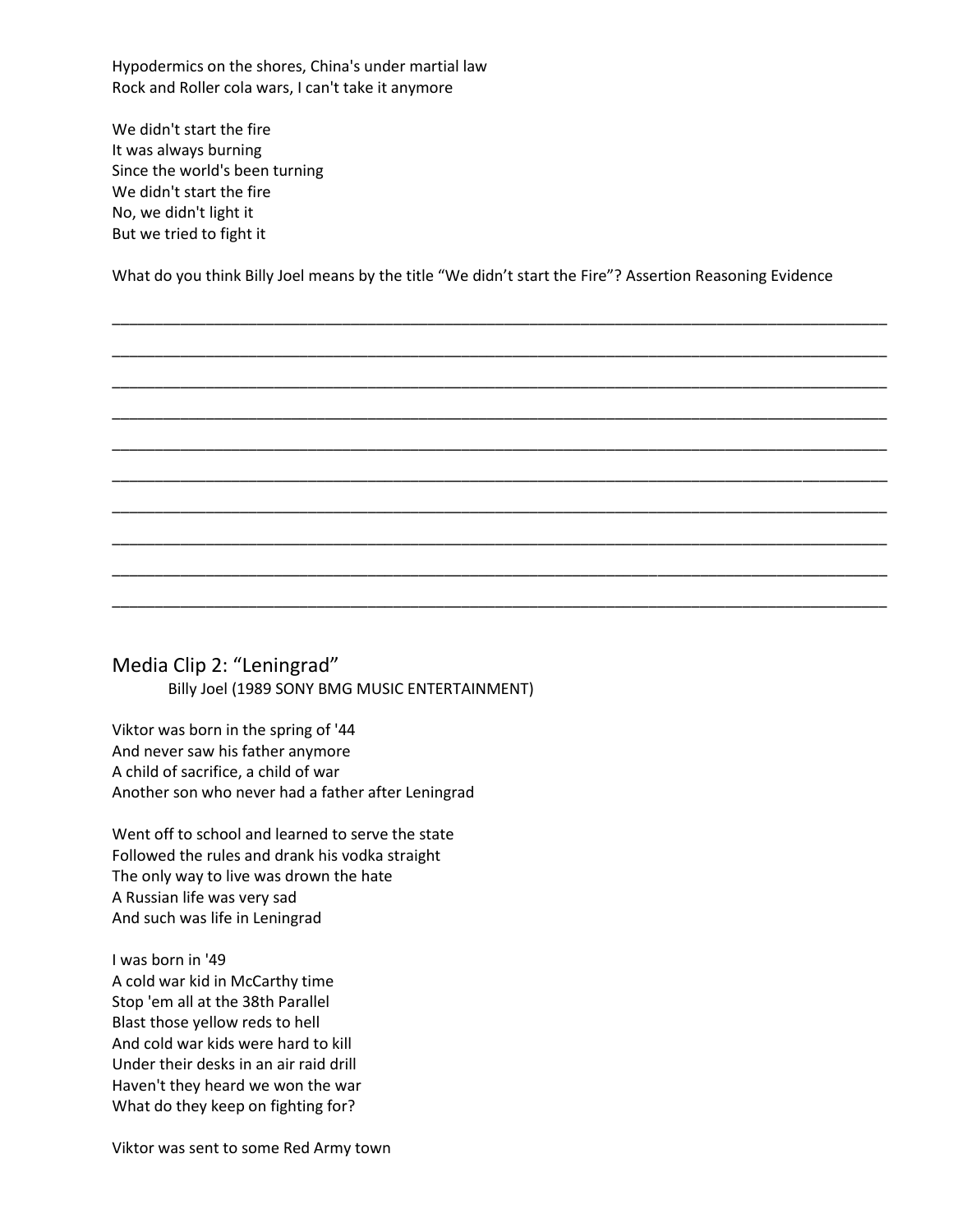[Hypodermics on the shores,](http://rock.rapgenius.com/1338493/Billy-joel-we-didnt-start-the-fire/Hypodermics-on-the-shores) [China's under martial law](http://rock.rapgenius.com/1441177/Billy-joel-we-didnt-start-the-fire/Chinas-under-martial-law) [Rock and Roller cola wars,](http://rock.rapgenius.com/1807077/Billy-joel-we-didnt-start-the-fire/Rock-and-roller-cola-wars) [I can't take it anymore](http://rock.rapgenius.com/2788319/Billy-joel-we-didnt-start-the-fire/I-cant-take-it-anymore)

[We didn't start the fire](http://rock.rapgenius.com/1002308/Billy-joel-we-didnt-start-the-fire/We-didnt-start-the-fire-it-was-always-burning-since-the-worlds-been-turning-we-didnt-start-the-fire-no-we-didnt-light-it-but-we-tried-to-fight-it) [It was always burning](http://rock.rapgenius.com/1002308/Billy-joel-we-didnt-start-the-fire/We-didnt-start-the-fire-it-was-always-burning-since-the-worlds-been-turning-we-didnt-start-the-fire-no-we-didnt-light-it-but-we-tried-to-fight-it) [Since the world's been turning](http://rock.rapgenius.com/1002308/Billy-joel-we-didnt-start-the-fire/We-didnt-start-the-fire-it-was-always-burning-since-the-worlds-been-turning-we-didnt-start-the-fire-no-we-didnt-light-it-but-we-tried-to-fight-it) [We didn't start the fire](http://rock.rapgenius.com/1002308/Billy-joel-we-didnt-start-the-fire/We-didnt-start-the-fire-it-was-always-burning-since-the-worlds-been-turning-we-didnt-start-the-fire-no-we-didnt-light-it-but-we-tried-to-fight-it) [No, we didn't light it](http://rock.rapgenius.com/1002308/Billy-joel-we-didnt-start-the-fire/We-didnt-start-the-fire-it-was-always-burning-since-the-worlds-been-turning-we-didnt-start-the-fire-no-we-didnt-light-it-but-we-tried-to-fight-it) [But we tried to fight it](http://rock.rapgenius.com/1002308/Billy-joel-we-didnt-start-the-fire/We-didnt-start-the-fire-it-was-always-burning-since-the-worlds-been-turning-we-didnt-start-the-fire-no-we-didnt-light-it-but-we-tried-to-fight-it)

What do you think Billy Joel means by the title "We didn't start the Fire"? Assertion Reasoning Evidence

\_\_\_\_\_\_\_\_\_\_\_\_\_\_\_\_\_\_\_\_\_\_\_\_\_\_\_\_\_\_\_\_\_\_\_\_\_\_\_\_\_\_\_\_\_\_\_\_\_\_\_\_\_\_\_\_\_\_\_\_\_\_\_\_\_\_\_\_\_\_\_\_\_\_\_\_\_\_\_\_\_\_\_\_\_\_\_\_\_\_\_

\_\_\_\_\_\_\_\_\_\_\_\_\_\_\_\_\_\_\_\_\_\_\_\_\_\_\_\_\_\_\_\_\_\_\_\_\_\_\_\_\_\_\_\_\_\_\_\_\_\_\_\_\_\_\_\_\_\_\_\_\_\_\_\_\_\_\_\_\_\_\_\_\_\_\_\_\_\_\_\_\_\_\_\_\_\_\_\_\_\_\_

\_\_\_\_\_\_\_\_\_\_\_\_\_\_\_\_\_\_\_\_\_\_\_\_\_\_\_\_\_\_\_\_\_\_\_\_\_\_\_\_\_\_\_\_\_\_\_\_\_\_\_\_\_\_\_\_\_\_\_\_\_\_\_\_\_\_\_\_\_\_\_\_\_\_\_\_\_\_\_\_\_\_\_\_\_\_\_\_\_\_\_

\_\_\_\_\_\_\_\_\_\_\_\_\_\_\_\_\_\_\_\_\_\_\_\_\_\_\_\_\_\_\_\_\_\_\_\_\_\_\_\_\_\_\_\_\_\_\_\_\_\_\_\_\_\_\_\_\_\_\_\_\_\_\_\_\_\_\_\_\_\_\_\_\_\_\_\_\_\_\_\_\_\_\_\_\_\_\_\_\_\_\_

\_\_\_\_\_\_\_\_\_\_\_\_\_\_\_\_\_\_\_\_\_\_\_\_\_\_\_\_\_\_\_\_\_\_\_\_\_\_\_\_\_\_\_\_\_\_\_\_\_\_\_\_\_\_\_\_\_\_\_\_\_\_\_\_\_\_\_\_\_\_\_\_\_\_\_\_\_\_\_\_\_\_\_\_\_\_\_\_\_\_\_

\_\_\_\_\_\_\_\_\_\_\_\_\_\_\_\_\_\_\_\_\_\_\_\_\_\_\_\_\_\_\_\_\_\_\_\_\_\_\_\_\_\_\_\_\_\_\_\_\_\_\_\_\_\_\_\_\_\_\_\_\_\_\_\_\_\_\_\_\_\_\_\_\_\_\_\_\_\_\_\_\_\_\_\_\_\_\_\_\_\_\_

\_\_\_\_\_\_\_\_\_\_\_\_\_\_\_\_\_\_\_\_\_\_\_\_\_\_\_\_\_\_\_\_\_\_\_\_\_\_\_\_\_\_\_\_\_\_\_\_\_\_\_\_\_\_\_\_\_\_\_\_\_\_\_\_\_\_\_\_\_\_\_\_\_\_\_\_\_\_\_\_\_\_\_\_\_\_\_\_\_\_\_

\_\_\_\_\_\_\_\_\_\_\_\_\_\_\_\_\_\_\_\_\_\_\_\_\_\_\_\_\_\_\_\_\_\_\_\_\_\_\_\_\_\_\_\_\_\_\_\_\_\_\_\_\_\_\_\_\_\_\_\_\_\_\_\_\_\_\_\_\_\_\_\_\_\_\_\_\_\_\_\_\_\_\_\_\_\_\_\_\_\_\_

\_\_\_\_\_\_\_\_\_\_\_\_\_\_\_\_\_\_\_\_\_\_\_\_\_\_\_\_\_\_\_\_\_\_\_\_\_\_\_\_\_\_\_\_\_\_\_\_\_\_\_\_\_\_\_\_\_\_\_\_\_\_\_\_\_\_\_\_\_\_\_\_\_\_\_\_\_\_\_\_\_\_\_\_\_\_\_\_\_\_\_

\_\_\_\_\_\_\_\_\_\_\_\_\_\_\_\_\_\_\_\_\_\_\_\_\_\_\_\_\_\_\_\_\_\_\_\_\_\_\_\_\_\_\_\_\_\_\_\_\_\_\_\_\_\_\_\_\_\_\_\_\_\_\_\_\_\_\_\_\_\_\_\_\_\_\_\_\_\_\_\_\_\_\_\_\_\_\_\_\_\_\_

Media Clip 2: "Leningrad" Billy Joel (1989 SONY BMG MUSIC ENTERTAINMENT)

Viktor was born in the spring of '44 And never saw his father anymore A child of sacrifice, a child of war Another son who never had a father after Leningrad

Went off to school and learned to serve the state Followed the rules and drank his vodka straight The only way to live was drown the hate A Russian life was very sad And such was life in Leningrad

I was born in '49 A cold war kid in McCarthy time Stop 'em all at the 38th Parallel Blast those yellow reds to hell And cold war kids were hard to kill Under their desks in an air raid drill Haven't they heard we won the war What do they keep on fighting for?

Viktor was sent to some Red Army town